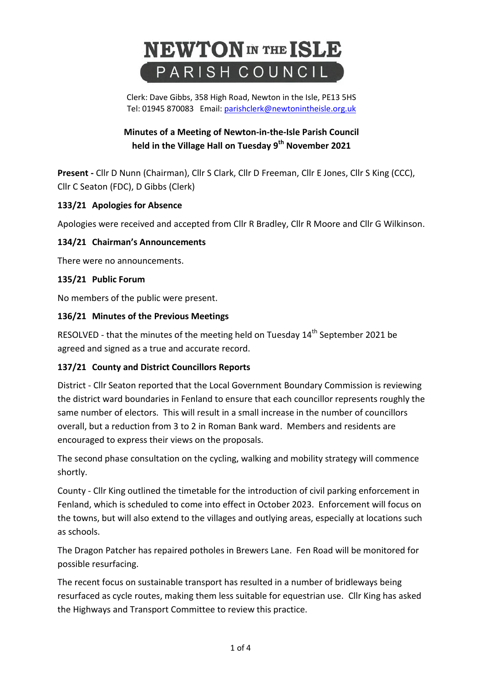# **NEWTON** IN THE ISLE PARISH COUNCIL

Clerk: Dave Gibbs, 358 High Road, Newton in the Isle, PE13 5HS Tel: 01945 870083 Email: [parishclerk@newtonintheisle.org.uk](mailto:parishclerk@newtonintheisle.org.uk)

# **Minutes of a Meeting of Newton-in-the-Isle Parish Council held in the Village Hall on Tuesday 9 th November 2021**

**Present -** Cllr D Nunn (Chairman), Cllr S Clark, Cllr D Freeman, Cllr E Jones, Cllr S King (CCC), Cllr C Seaton (FDC), D Gibbs (Clerk)

# **133/21 Apologies for Absence**

Apologies were received and accepted from Cllr R Bradley, Cllr R Moore and Cllr G Wilkinson.

# **134/21 Chairman's Announcements**

There were no announcements.

#### **135/21 Public Forum**

No members of the public were present.

#### **136/21 Minutes of the Previous Meetings**

RESOLVED - that the minutes of the meeting held on Tuesday 14<sup>th</sup> September 2021 be agreed and signed as a true and accurate record.

#### **137/21 County and District Councillors Reports**

District - Cllr Seaton reported that the Local Government Boundary Commission is reviewing the district ward boundaries in Fenland to ensure that each councillor represents roughly the same number of electors. This will result in a small increase in the number of councillors overall, but a reduction from 3 to 2 in Roman Bank ward. Members and residents are encouraged to express their views on the proposals.

The second phase consultation on the cycling, walking and mobility strategy will commence shortly.

County - Cllr King outlined the timetable for the introduction of civil parking enforcement in Fenland, which is scheduled to come into effect in October 2023. Enforcement will focus on the towns, but will also extend to the villages and outlying areas, especially at locations such as schools.

The Dragon Patcher has repaired potholes in Brewers Lane. Fen Road will be monitored for possible resurfacing.

The recent focus on sustainable transport has resulted in a number of bridleways being resurfaced as cycle routes, making them less suitable for equestrian use. Cllr King has asked the Highways and Transport Committee to review this practice.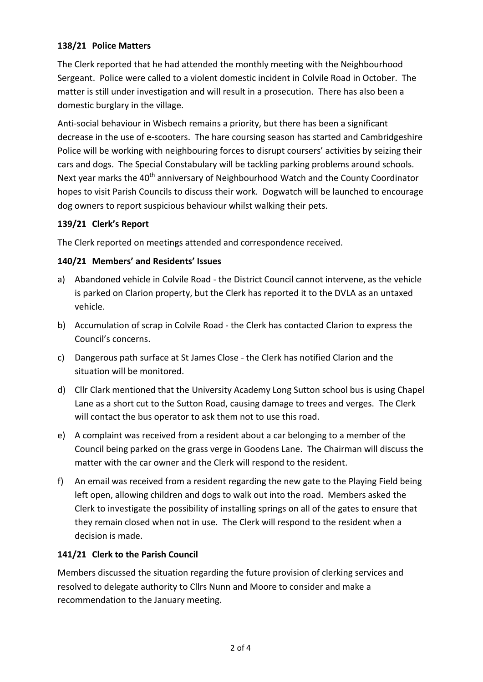# **138/21 Police Matters**

The Clerk reported that he had attended the monthly meeting with the Neighbourhood Sergeant. Police were called to a violent domestic incident in Colvile Road in October. The matter is still under investigation and will result in a prosecution. There has also been a domestic burglary in the village.

Anti-social behaviour in Wisbech remains a priority, but there has been a significant decrease in the use of e-scooters. The hare coursing season has started and Cambridgeshire Police will be working with neighbouring forces to disrupt coursers' activities by seizing their cars and dogs. The Special Constabulary will be tackling parking problems around schools. Next year marks the 40<sup>th</sup> anniversary of Neighbourhood Watch and the County Coordinator hopes to visit Parish Councils to discuss their work. Dogwatch will be launched to encourage dog owners to report suspicious behaviour whilst walking their pets.

# **139/21 Clerk's Report**

The Clerk reported on meetings attended and correspondence received.

# **140/21 Members' and Residents' Issues**

- a) Abandoned vehicle in Colvile Road the District Council cannot intervene, as the vehicle is parked on Clarion property, but the Clerk has reported it to the DVLA as an untaxed vehicle.
- b) Accumulation of scrap in Colvile Road the Clerk has contacted Clarion to express the Council's concerns.
- c) Dangerous path surface at St James Close the Clerk has notified Clarion and the situation will be monitored.
- d) Cllr Clark mentioned that the University Academy Long Sutton school bus is using Chapel Lane as a short cut to the Sutton Road, causing damage to trees and verges. The Clerk will contact the bus operator to ask them not to use this road.
- e) A complaint was received from a resident about a car belonging to a member of the Council being parked on the grass verge in Goodens Lane. The Chairman will discuss the matter with the car owner and the Clerk will respond to the resident.
- f) An email was received from a resident regarding the new gate to the Playing Field being left open, allowing children and dogs to walk out into the road. Members asked the Clerk to investigate the possibility of installing springs on all of the gates to ensure that they remain closed when not in use. The Clerk will respond to the resident when a decision is made.

# **141/21 Clerk to the Parish Council**

Members discussed the situation regarding the future provision of clerking services and resolved to delegate authority to Cllrs Nunn and Moore to consider and make a recommendation to the January meeting.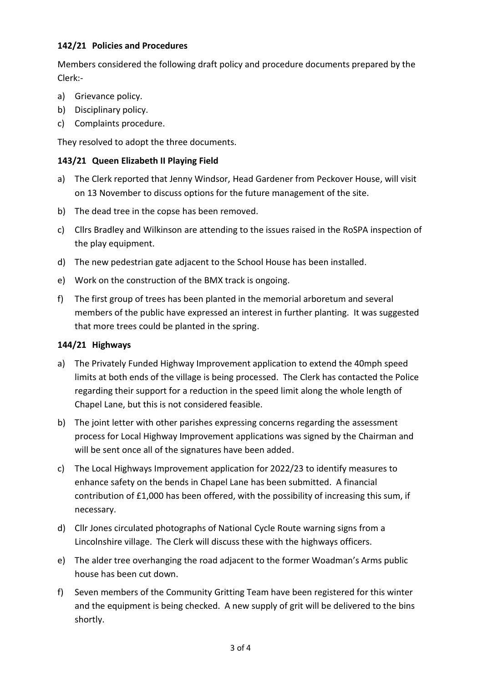# **142/21 Policies and Procedures**

Members considered the following draft policy and procedure documents prepared by the Clerk:-

- a) Grievance policy.
- b) Disciplinary policy.
- c) Complaints procedure.

They resolved to adopt the three documents.

# **143/21 Queen Elizabeth II Playing Field**

- a) The Clerk reported that Jenny Windsor, Head Gardener from Peckover House, will visit on 13 November to discuss options for the future management of the site.
- b) The dead tree in the copse has been removed.
- c) Cllrs Bradley and Wilkinson are attending to the issues raised in the RoSPA inspection of the play equipment.
- d) The new pedestrian gate adjacent to the School House has been installed.
- e) Work on the construction of the BMX track is ongoing.
- f) The first group of trees has been planted in the memorial arboretum and several members of the public have expressed an interest in further planting. It was suggested that more trees could be planted in the spring.

#### **144/21 Highways**

- a) The Privately Funded Highway Improvement application to extend the 40mph speed limits at both ends of the village is being processed. The Clerk has contacted the Police regarding their support for a reduction in the speed limit along the whole length of Chapel Lane, but this is not considered feasible.
- b) The joint letter with other parishes expressing concerns regarding the assessment process for Local Highway Improvement applications was signed by the Chairman and will be sent once all of the signatures have been added.
- c) The Local Highways Improvement application for 2022/23 to identify measures to enhance safety on the bends in Chapel Lane has been submitted. A financial contribution of £1,000 has been offered, with the possibility of increasing this sum, if necessary.
- d) Cllr Jones circulated photographs of National Cycle Route warning signs from a Lincolnshire village. The Clerk will discuss these with the highways officers.
- e) The alder tree overhanging the road adjacent to the former Woadman's Arms public house has been cut down.
- f) Seven members of the Community Gritting Team have been registered for this winter and the equipment is being checked. A new supply of grit will be delivered to the bins shortly.